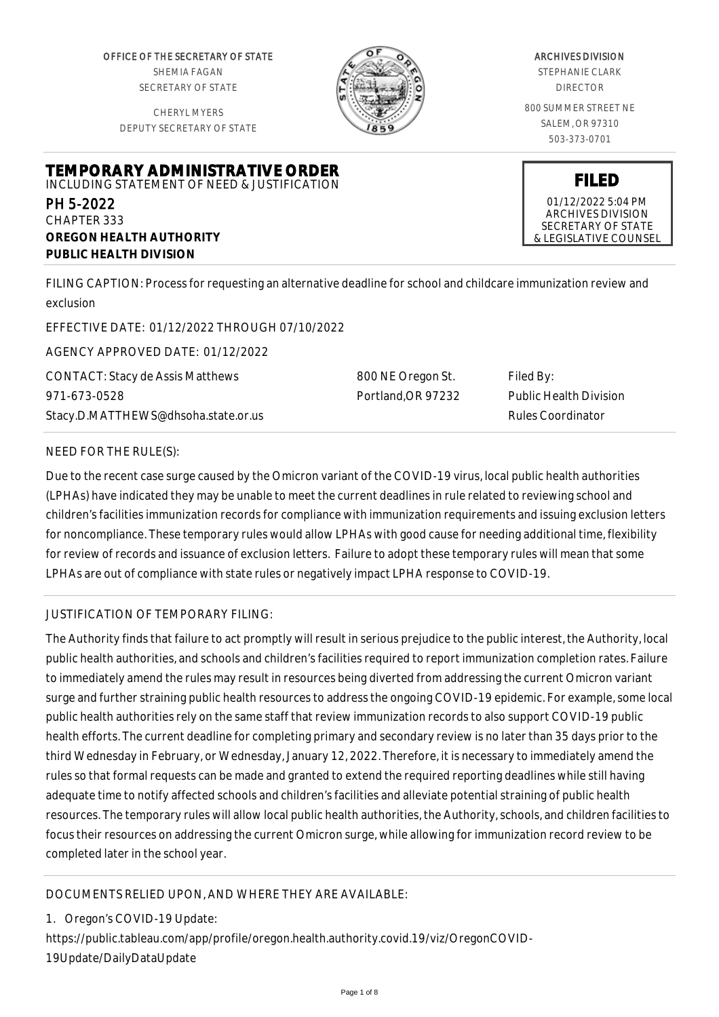OFFICE OF THE SECRETARY OF STATE SHEMIA FAGAN SECRETARY OF STATE

CHERYL MYERS DEPUTY SECRETARY OF STATE

**TEMPORARY ADMINISTRATIVE ORDER** INCLUDING STATEMENT OF NEED & JUSTIFICATION



# ARCHIVES DIVISION

STEPHANIE CLARK DIRECTOR

800 SUMMER STREET NE SALEM, OR 97310 503-373-0701

**FILED**

01/12/2022 5:04 PM ARCHIVES DIVISION SECRETARY OF STATE & LEGISLATIVE COUNSEL

FILING CAPTION: Process for requesting an alternative deadline for school and childcare immunization review and exclusion

EFFECTIVE DATE: 01/12/2022 THROUGH 07/10/2022

AGENCY APPROVED DATE: 01/12/2022

**OREGON HEALTH AUTHORITY**

**PUBLIC HEALTH DIVISION**

CONTACT: Stacy de Assis Matthews 971-673-0528 Stacy.D.MATTHEWS@dhsoha.state.or.us 800 NE Oregon St. Portland,OR 97232 Filed By: Public Health Division Rules Coordinator

## NEED FOR THE RULE(S):

PH 5-2022 CHAPTER 333

Due to the recent case surge caused by the Omicron variant of the COVID-19 virus, local public health authorities (LPHAs) have indicated they may be unable to meet the current deadlines in rule related to reviewing school and children's facilities immunization records for compliance with immunization requirements and issuing exclusion letters for noncompliance. These temporary rules would allow LPHAs with good cause for needing additional time, flexibility for review of records and issuance of exclusion letters. Failure to adopt these temporary rules will mean that some LPHAs are out of compliance with state rules or negatively impact LPHA response to COVID-19.

## JUSTIFICATION OF TEMPORARY FILING:

The Authority finds that failure to act promptly will result in serious prejudice to the public interest, the Authority, local public health authorities, and schools and children's facilities required to report immunization completion rates. Failure to immediately amend the rules may result in resources being diverted from addressing the current Omicron variant surge and further straining public health resources to address the ongoing COVID-19 epidemic. For example, some local public health authorities rely on the same staff that review immunization records to also support COVID-19 public health efforts. The current deadline for completing primary and secondary review is no later than 35 days prior to the third Wednesday in February, or Wednesday, January 12, 2022. Therefore, it is necessary to immediately amend the rules so that formal requests can be made and granted to extend the required reporting deadlines while still having adequate time to notify affected schools and children's facilities and alleviate potential straining of public health resources. The temporary rules will allow local public health authorities, the Authority, schools, and children facilities to focus their resources on addressing the current Omicron surge, while allowing for immunization record review to be completed later in the school year.

## DOCUMENTS RELIED UPON, AND WHERE THEY ARE AVAILABLE:

1. Oregon's COVID-19 Update:

https://public.tableau.com/app/profile/oregon.health.authority.covid.19/viz/OregonCOVID-19Update/DailyDataUpdate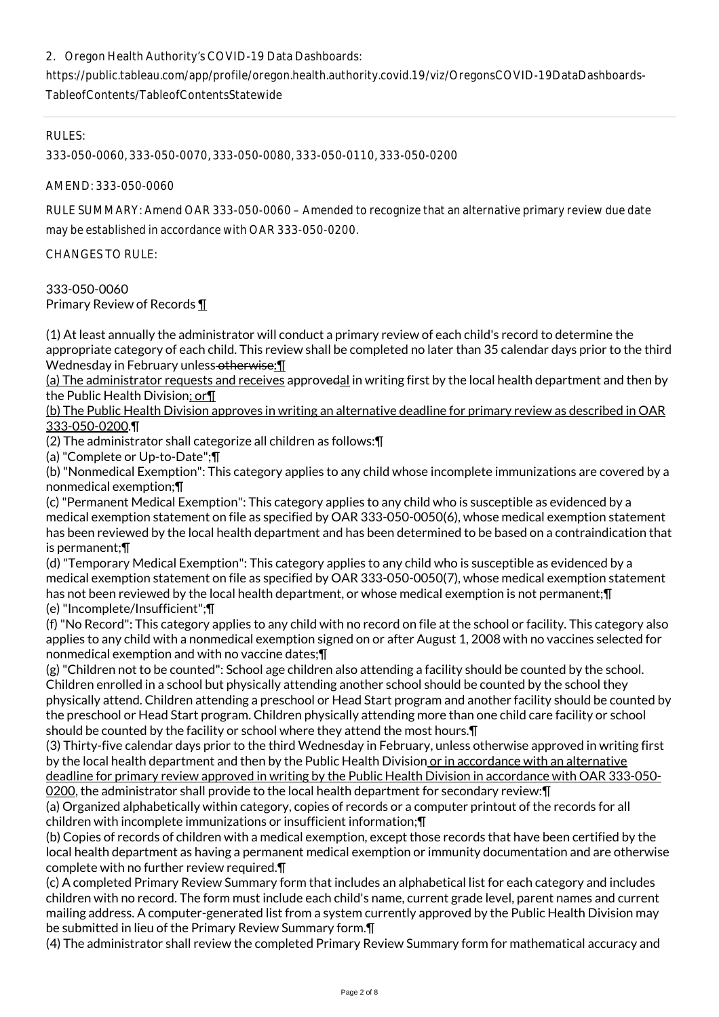## 2. Oregon Health Authority's COVID-19 Data Dashboards:

https://public.tableau.com/app/profile/oregon.health.authority.covid.19/viz/OregonsCOVID-19DataDashboards-TableofContents/TableofContentsStatewide

RULES:

333-050-0060, 333-050-0070, 333-050-0080, 333-050-0110, 333-050-0200

AMEND: 333-050-0060

RULE SUMMARY: Amend OAR 333-050-0060 – Amended to recognize that an alternative primary review due date may be established in accordance with OAR 333-050-0200.

CHANGES TO RULE:

#### 333-050-0060 Primary Review of Records ¶

(1) At least annually the administrator will conduct a primary review of each child's record to determine the appropriate category of each child. This review shall be completed no later than 35 calendar days prior to the third Wednesday in February unless-otherwise: [1]

(a) The administrator requests and receives approvedal in writing first by the local health department and then by the Public Health Division; or¶

(b) The Public Health Division approves in writing an alternative deadline for primary review as described in OAR 333-050-0200.¶

(2) The administrator shall categorize all children as follows:¶

(a) "Complete or Up-to-Date";¶

(b) "Nonmedical Exemption": This category applies to any child whose incomplete immunizations are covered by a nonmedical exemption;¶

(c) "Permanent Medical Exemption": This category applies to any child who is susceptible as evidenced by a medical exemption statement on file as specified by OAR 333-050-0050(6), whose medical exemption statement has been reviewed by the local health department and has been determined to be based on a contraindication that is permanent;¶

(d) "Temporary Medical Exemption": This category applies to any child who is susceptible as evidenced by a medical exemption statement on file as specified by OAR 333-050-0050(7), whose medical exemption statement has not been reviewed by the local health department, or whose medical exemption is not permanent;¶ (e) "Incomplete/Insufficient";¶

(f) "No Record": This category applies to any child with no record on file at the school or facility. This category also applies to any child with a nonmedical exemption signed on or after August 1, 2008 with no vaccines selected for nonmedical exemption and with no vaccine dates;¶

(g) "Children not to be counted": School age children also attending a facility should be counted by the school. Children enrolled in a school but physically attending another school should be counted by the school they physically attend. Children attending a preschool or Head Start program and another facility should be counted by the preschool or Head Start program. Children physically attending more than one child care facility or school should be counted by the facility or school where they attend the most hours.¶

(3) Thirty-five calendar days prior to the third Wednesday in February, unless otherwise approved in writing first by the local health department and then by the Public Health Division or in accordance with an alternative deadline for primary review approved in writing by the Public Health Division in accordance with OAR 333-050- 0200, the administrator shall provide to the local health department for secondary review:¶

(a) Organized alphabetically within category, copies of records or a computer printout of the records for all children with incomplete immunizations or insufficient information;¶

(b) Copies of records of children with a medical exemption, except those records that have been certified by the local health department as having a permanent medical exemption or immunity documentation and are otherwise complete with no further review required.¶

(c) A completed Primary Review Summary form that includes an alphabetical list for each category and includes children with no record. The form must include each child's name, current grade level, parent names and current mailing address. A computer-generated list from a system currently approved by the Public Health Division may be submitted in lieu of the Primary Review Summary form.¶

(4) The administrator shall review the completed Primary Review Summary form for mathematical accuracy and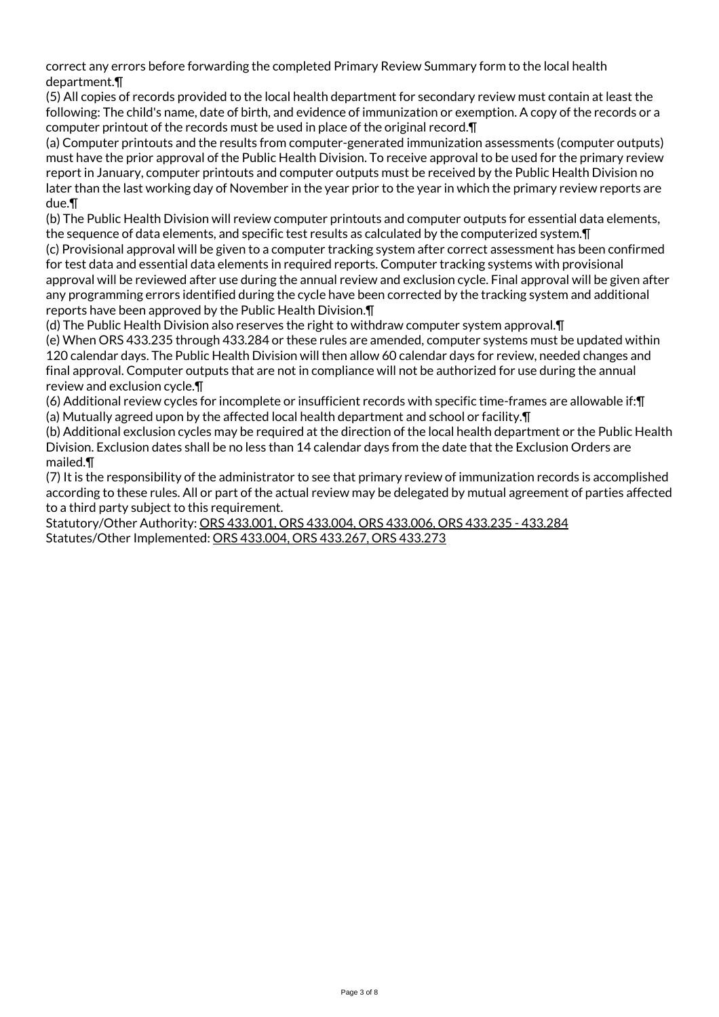correct any errors before forwarding the completed Primary Review Summary form to the local health department.¶

(5) All copies of records provided to the local health department for secondary review must contain at least the following: The child's name, date of birth, and evidence of immunization or exemption. A copy of the records or a computer printout of the records must be used in place of the original record.¶

(a) Computer printouts and the results from computer-generated immunization assessments (computer outputs) must have the prior approval of the Public Health Division. To receive approval to be used for the primary review report in January, computer printouts and computer outputs must be received by the Public Health Division no later than the last working day of November in the year prior to the year in which the primary review reports are due.¶

(b) The Public Health Division will review computer printouts and computer outputs for essential data elements, the sequence of data elements, and specific test results as calculated by the computerized system.¶

(c) Provisional approval will be given to a computer tracking system after correct assessment has been confirmed for test data and essential data elements in required reports. Computer tracking systems with provisional approval will be reviewed after use during the annual review and exclusion cycle. Final approval will be given after any programming errors identified during the cycle have been corrected by the tracking system and additional reports have been approved by the Public Health Division.¶

(d) The Public Health Division also reserves the right to withdraw computer system approval.¶

(e) When ORS 433.235 through 433.284 or these rules are amended, computer systems must be updated within 120 calendar days. The Public Health Division will then allow 60 calendar days for review, needed changes and final approval. Computer outputs that are not in compliance will not be authorized for use during the annual review and exclusion cycle.¶

(6) Additional review cycles for incomplete or insufficient records with specific time-frames are allowable if:¶ (a) Mutually agreed upon by the affected local health department and school or facility.¶

(b) Additional exclusion cycles may be required at the direction of the local health department or the Public Health Division. Exclusion dates shall be no less than 14 calendar days from the date that the Exclusion Orders are mailed.¶

(7) It is the responsibility of the administrator to see that primary review of immunization records is accomplished according to these rules. All or part of the actual review may be delegated by mutual agreement of parties affected to a third party subject to this requirement.

Statutory/Other Authority: ORS 433.001, ORS 433.004, ORS 433.006, ORS 433.235 - 433.284 Statutes/Other Implemented: ORS 433.004, ORS 433.267, ORS 433.273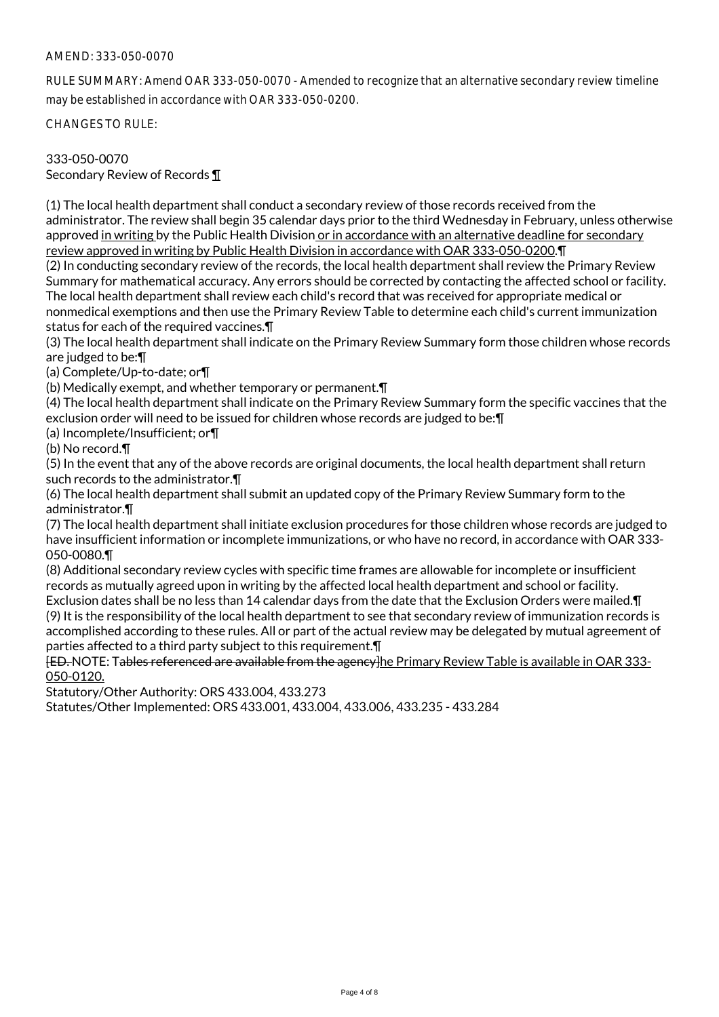### AMEND: 333-050-0070

RULE SUMMARY: Amend OAR 333-050-0070 - Amended to recognize that an alternative secondary review timeline may be established in accordance with OAR 333-050-0200.

CHANGES TO RULE:

## 333-050-0070

Secondary Review of Records ¶

(1) The local health department shall conduct a secondary review of those records received from the administrator. The review shall begin 35 calendar days prior to the third Wednesday in February, unless otherwise approved in writing by the Public Health Division or in accordance with an alternative deadline for secondary review approved in writing by Public Health Division in accordance with OAR 333-050-0200.¶

(2) In conducting secondary review of the records, the local health department shall review the Primary Review Summary for mathematical accuracy. Any errors should be corrected by contacting the affected school or facility. The local health department shall review each child's record that was received for appropriate medical or nonmedical exemptions and then use the Primary Review Table to determine each child's current immunization status for each of the required vaccines.¶

(3) The local health department shall indicate on the Primary Review Summary form those children whose records are judged to be:¶

(a) Complete/Up-to-date; or¶

(b) Medically exempt, and whether temporary or permanent.¶

(4) The local health department shall indicate on the Primary Review Summary form the specific vaccines that the exclusion order will need to be issued for children whose records are judged to be:¶

(a) Incomplete/Insufficient; or¶

(b) No record.¶

(5) In the event that any of the above records are original documents, the local health department shall return such records to the administrator.¶

(6) The local health department shall submit an updated copy of the Primary Review Summary form to the administrator.¶

(7) The local health department shall initiate exclusion procedures for those children whose records are judged to have insufficient information or incomplete immunizations, or who have no record, in accordance with OAR 333- 050-0080.¶

(8) Additional secondary review cycles with specific time frames are allowable for incomplete or insufficient records as mutually agreed upon in writing by the affected local health department and school or facility.

Exclusion dates shall be no less than 14 calendar days from the date that the Exclusion Orders were mailed.¶ (9) It is the responsibility of the local health department to see that secondary review of immunization records is accomplished according to these rules. All or part of the actual review may be delegated by mutual agreement of parties affected to a third party subject to this requirement.¶

[ED. NOTE: Tables referenced are available from the agency]he Primary Review Table is available in OAR 333- 050-0120.

Statutory/Other Authority: ORS 433.004, 433.273

Statutes/Other Implemented: ORS 433.001, 433.004, 433.006, 433.235 - 433.284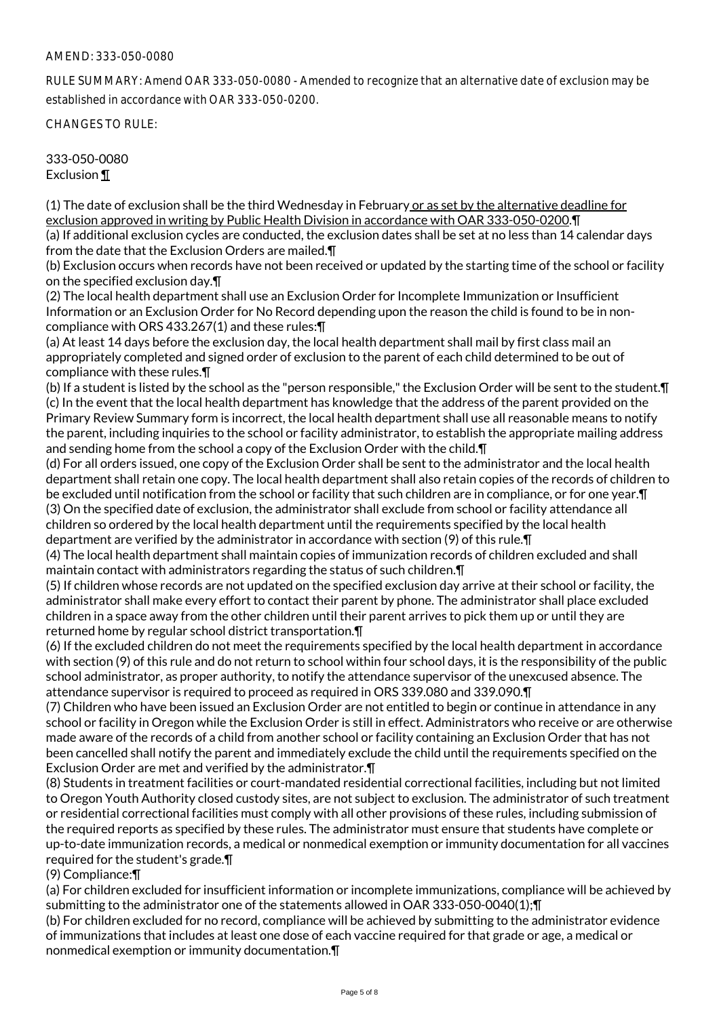### AMEND: 333-050-0080

RULE SUMMARY: Amend OAR 333-050-0080 - Amended to recognize that an alternative date of exclusion may be established in accordance with OAR 333-050-0200.

CHANGES TO RULE:

333-050-0080 Exclusion ¶

(1) The date of exclusion shall be the third Wednesday in February or as set by the alternative deadline for exclusion approved in writing by Public Health Division in accordance with OAR 333-050-0200.¶

(a) If additional exclusion cycles are conducted, the exclusion dates shall be set at no less than 14 calendar days from the date that the Exclusion Orders are mailed.¶

(b) Exclusion occurs when records have not been received or updated by the starting time of the school or facility on the specified exclusion day.¶

(2) The local health department shall use an Exclusion Order for Incomplete Immunization or Insufficient Information or an Exclusion Order for No Record depending upon the reason the child is found to be in noncompliance with ORS 433.267(1) and these rules:¶

(a) At least 14 days before the exclusion day, the local health department shall mail by first class mail an appropriately completed and signed order of exclusion to the parent of each child determined to be out of compliance with these rules.¶

(b) If a student is listed by the school as the "person responsible," the Exclusion Order will be sent to the student.¶ (c) In the event that the local health department has knowledge that the address of the parent provided on the Primary Review Summary form is incorrect, the local health department shall use all reasonable means to notify the parent, including inquiries to the school or facility administrator, to establish the appropriate mailing address and sending home from the school a copy of the Exclusion Order with the child.¶

(d) For all orders issued, one copy of the Exclusion Order shall be sent to the administrator and the local health department shall retain one copy. The local health department shall also retain copies of the records of children to be excluded until notification from the school or facility that such children are in compliance, or for one year.¶ (3) On the specified date of exclusion, the administrator shall exclude from school or facility attendance all children so ordered by the local health department until the requirements specified by the local health department are verified by the administrator in accordance with section (9) of this rule.¶

(4) The local health department shall maintain copies of immunization records of children excluded and shall maintain contact with administrators regarding the status of such children.¶

(5) If children whose records are not updated on the specified exclusion day arrive at their school or facility, the administrator shall make every effort to contact their parent by phone. The administrator shall place excluded children in a space away from the other children until their parent arrives to pick them up or until they are returned home by regular school district transportation.¶

(6) If the excluded children do not meet the requirements specified by the local health department in accordance with section (9) of this rule and do not return to school within four school days, it is the responsibility of the public school administrator, as proper authority, to notify the attendance supervisor of the unexcused absence. The attendance supervisor is required to proceed as required in ORS 339.080 and 339.090.¶

(7) Children who have been issued an Exclusion Order are not entitled to begin or continue in attendance in any school or facility in Oregon while the Exclusion Order is still in effect. Administrators who receive or are otherwise made aware of the records of a child from another school or facility containing an Exclusion Order that has not been cancelled shall notify the parent and immediately exclude the child until the requirements specified on the Exclusion Order are met and verified by the administrator.¶

(8) Students in treatment facilities or court-mandated residential correctional facilities, including but not limited to Oregon Youth Authority closed custody sites, are not subject to exclusion. The administrator of such treatment or residential correctional facilities must comply with all other provisions of these rules, including submission of the required reports as specified by these rules. The administrator must ensure that students have complete or up-to-date immunization records, a medical or nonmedical exemption or immunity documentation for all vaccines required for the student's grade.¶

(9) Compliance:¶

(a) For children excluded for insufficient information or incomplete immunizations, compliance will be achieved by submitting to the administrator one of the statements allowed in OAR 333-050-0040(1); [

(b) For children excluded for no record, compliance will be achieved by submitting to the administrator evidence of immunizations that includes at least one dose of each vaccine required for that grade or age, a medical or nonmedical exemption or immunity documentation.¶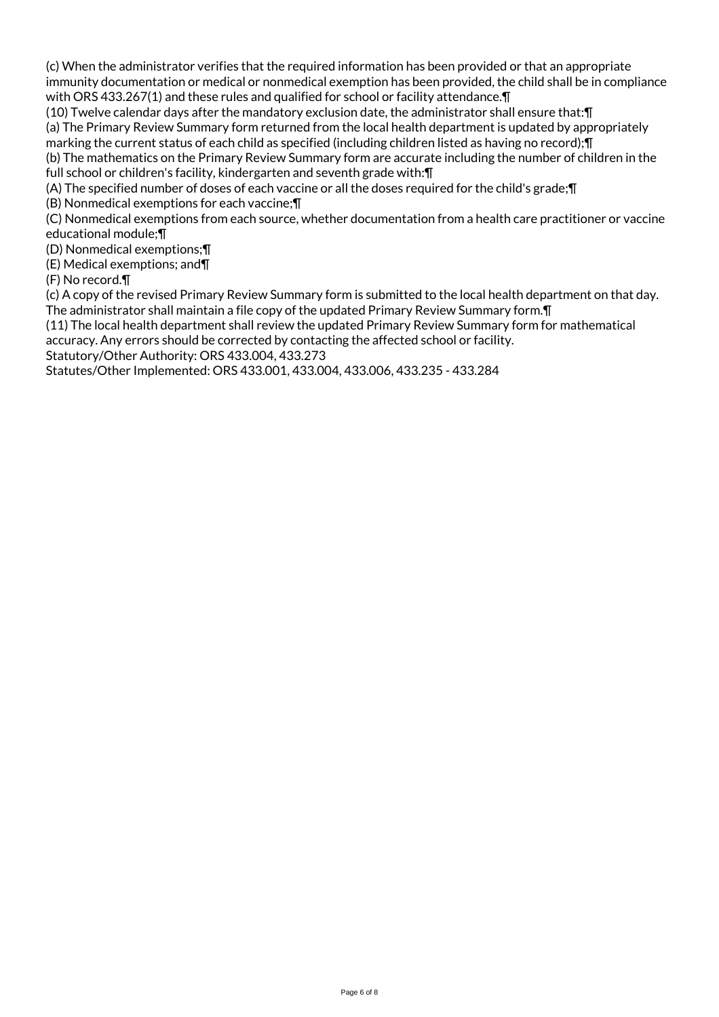(c) When the administrator verifies that the required information has been provided or that an appropriate immunity documentation or medical or nonmedical exemption has been provided, the child shall be in compliance with ORS 433.267(1) and these rules and qualified for school or facility attendance.¶

(10) Twelve calendar days after the mandatory exclusion date, the administrator shall ensure that:¶ (a) The Primary Review Summary form returned from the local health department is updated by appropriately marking the current status of each child as specified (including children listed as having no record);¶

(b) The mathematics on the Primary Review Summary form are accurate including the number of children in the full school or children's facility, kindergarten and seventh grade with:¶

(A) The specified number of doses of each vaccine or all the doses required for the child's grade;¶

(B) Nonmedical exemptions for each vaccine;¶

(C) Nonmedical exemptions from each source, whether documentation from a health care practitioner or vaccine educational module;¶

(D) Nonmedical exemptions;¶

(E) Medical exemptions; and¶

(F) No record.¶

(c) A copy of the revised Primary Review Summary form is submitted to the local health department on that day. The administrator shall maintain a file copy of the updated Primary Review Summary form.¶

(11) The local health department shall review the updated Primary Review Summary form for mathematical accuracy. Any errors should be corrected by contacting the affected school or facility.

Statutory/Other Authority: ORS 433.004, 433.273

Statutes/Other Implemented: ORS 433.001, 433.004, 433.006, 433.235 - 433.284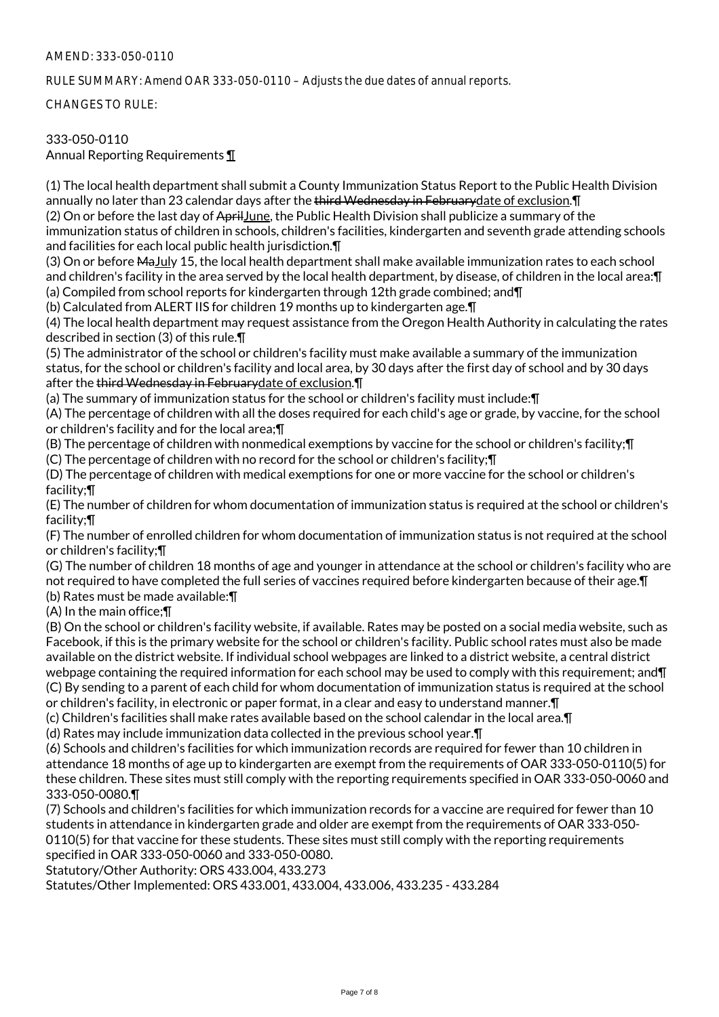### AMEND: 333-050-0110

RULE SUMMARY: Amend OAR 333-050-0110 – Adjusts the due dates of annual reports.

CHANGES TO RULE:

## 333-050-0110

Annual Reporting Requirements ¶

(1) The local health department shall submit a County Immunization Status Report to the Public Health Division annually no later than 23 calendar days after the third Wednesday in February date of exclusion. I

(2) On or before the last day of AprilJune, the Public Health Division shall publicize a summary of the immunization status of children in schools, children's facilities, kindergarten and seventh grade attending schools and facilities for each local public health jurisdiction.¶

(3) On or before MaJuly 15, the local health department shall make available immunization rates to each school and children's facility in the area served by the local health department, by disease, of children in the local area:¶ (a) Compiled from school reports for kindergarten through 12th grade combined; and¶

(b) Calculated from ALERT IIS for children 19 months up to kindergarten age.¶

(4) The local health department may request assistance from the Oregon Health Authority in calculating the rates described in section (3) of this rule.¶

(5) The administrator of the school or children's facility must make available a summary of the immunization status, for the school or children's facility and local area, by 30 days after the first day of school and by 30 days after the third Wednesday in Februarydate of exclusion.¶

(a) The summary of immunization status for the school or children's facility must include:¶

(A) The percentage of children with all the doses required for each child's age or grade, by vaccine, for the school or children's facility and for the local area;¶

(B) The percentage of children with nonmedical exemptions by vaccine for the school or children's facility;¶ (C) The percentage of children with no record for the school or children's facility;¶

(D) The percentage of children with medical exemptions for one or more vaccine for the school or children's

facility;¶ (E) The number of children for whom documentation of immunization status is required at the school or children's facility;¶

(F) The number of enrolled children for whom documentation of immunization status is not required at the school or children's facility;¶

(G) The number of children 18 months of age and younger in attendance at the school or children's facility who are not required to have completed the full series of vaccines required before kindergarten because of their age.¶ (b) Rates must be made available:¶

(A) In the main office;¶

(B) On the school or children's facility website, if available. Rates may be posted on a social media website, such as Facebook, if this is the primary website for the school or children's facility. Public school rates must also be made available on the district website. If individual school webpages are linked to a district website, a central district webpage containing the required information for each school may be used to comply with this requirement; and¶ (C) By sending to a parent of each child for whom documentation of immunization status is required at the school or children's facility, in electronic or paper format, in a clear and easy to understand manner.¶

(c) Children's facilities shall make rates available based on the school calendar in the local area.¶

(d) Rates may include immunization data collected in the previous school year.¶

(6) Schools and children's facilities for which immunization records are required for fewer than 10 children in attendance 18 months of age up to kindergarten are exempt from the requirements of OAR 333-050-0110(5) for these children. These sites must still comply with the reporting requirements specified in OAR 333-050-0060 and 333-050-0080.¶

(7) Schools and children's facilities for which immunization records for a vaccine are required for fewer than 10 students in attendance in kindergarten grade and older are exempt from the requirements of OAR 333-050- 0110(5) for that vaccine for these students. These sites must still comply with the reporting requirements specified in OAR 333-050-0060 and 333-050-0080.

Statutory/Other Authority: ORS 433.004, 433.273

Statutes/Other Implemented: ORS 433.001, 433.004, 433.006, 433.235 - 433.284